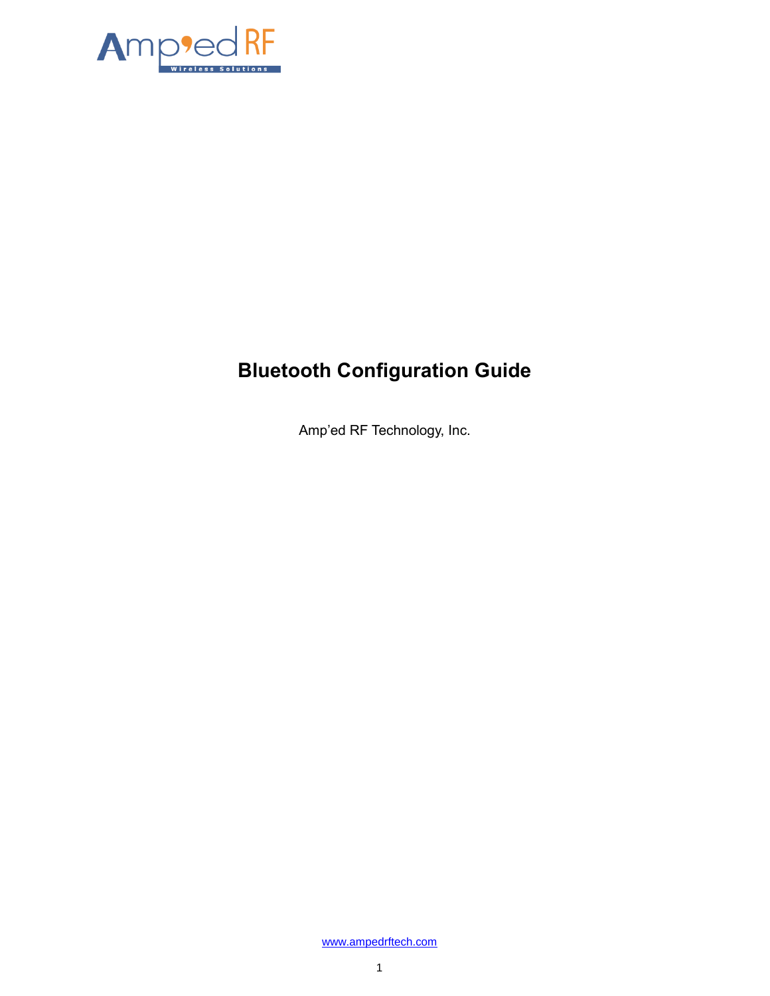

# **Bluetooth Configuration Guide**

Amp'ed RF Technology, Inc.

[www.ampedrftech.com](http://www.ampedrftech.com/)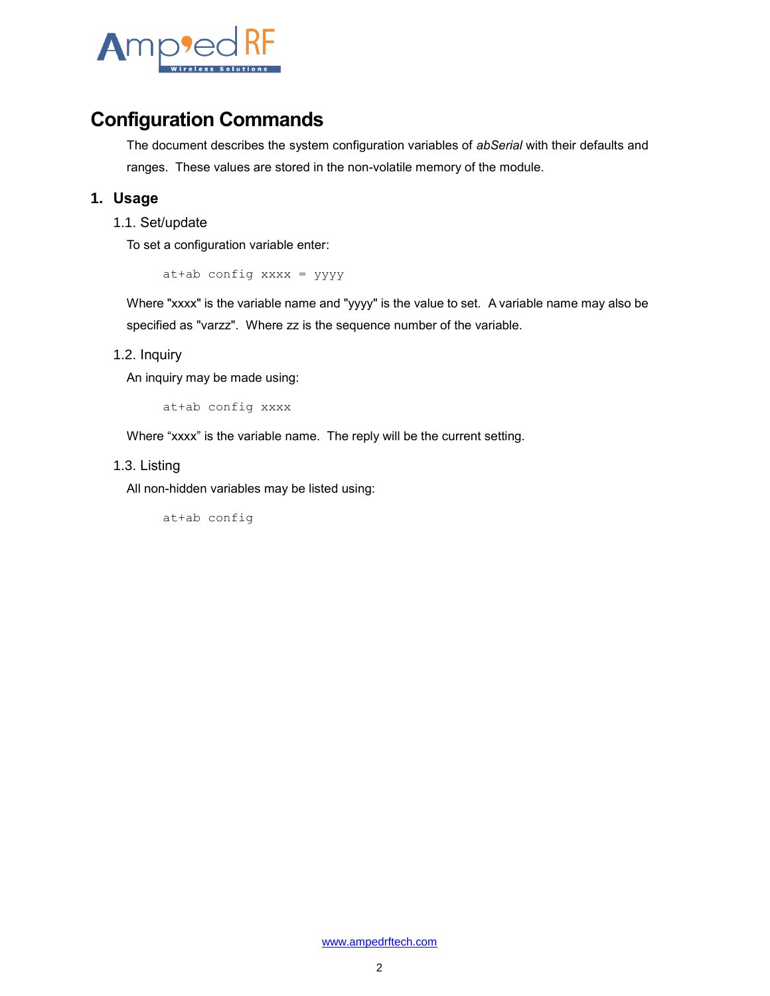

### **Configuration Commands**

The document describes the system configuration variables of *abSerial* with their defaults and ranges. These values are stored in the non-volatile memory of the module.

#### **1. Usage**

1.1. Set/update

To set a configuration variable enter:

at+ab config xxxx = yyyy

Where "xxxx" is the variable name and "yyyy" is the value to set. A variable name may also be specified as "varzz". Where zz is the sequence number of the variable.

#### 1.2. Inquiry

An inquiry may be made using:

at+ab config xxxx

Where "xxxx" is the variable name. The reply will be the current setting.

#### 1.3. Listing

All non-hidden variables may be listed using:

at+ab config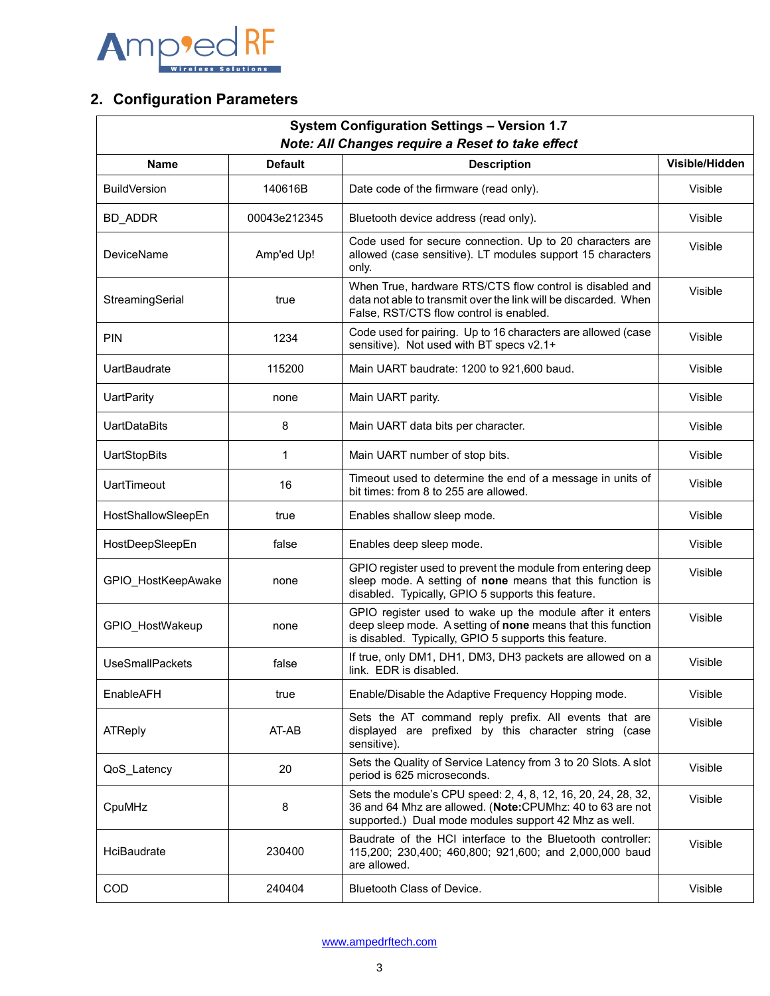

### **2. Configuration Parameters**

| <b>System Configuration Settings - Version 1.7</b><br>Note: All Changes require a Reset to take effect |                |                                                                                                                                                                                     |                |  |  |  |
|--------------------------------------------------------------------------------------------------------|----------------|-------------------------------------------------------------------------------------------------------------------------------------------------------------------------------------|----------------|--|--|--|
| <b>Name</b>                                                                                            | <b>Default</b> | <b>Description</b>                                                                                                                                                                  | Visible/Hidden |  |  |  |
| <b>BuildVersion</b>                                                                                    | 140616B        | Date code of the firmware (read only).                                                                                                                                              | Visible        |  |  |  |
| <b>BD_ADDR</b>                                                                                         | 00043e212345   | Bluetooth device address (read only).                                                                                                                                               | Visible        |  |  |  |
| DeviceName                                                                                             | Amp'ed Up!     | Code used for secure connection. Up to 20 characters are<br>allowed (case sensitive). LT modules support 15 characters<br>only.                                                     | Visible        |  |  |  |
| StreamingSerial                                                                                        | true           | When True, hardware RTS/CTS flow control is disabled and<br>data not able to transmit over the link will be discarded. When<br>False, RST/CTS flow control is enabled.              | Visible        |  |  |  |
| <b>PIN</b>                                                                                             | 1234           | Code used for pairing. Up to 16 characters are allowed (case<br>sensitive). Not used with BT specs v2.1+                                                                            | Visible        |  |  |  |
| UartBaudrate                                                                                           | 115200         | Main UART baudrate: 1200 to 921,600 baud.                                                                                                                                           | Visible        |  |  |  |
| <b>UartParity</b>                                                                                      | none           | Main UART parity.                                                                                                                                                                   | Visible        |  |  |  |
| <b>UartDataBits</b>                                                                                    | 8              | Main UART data bits per character.                                                                                                                                                  | Visible        |  |  |  |
| <b>UartStopBits</b>                                                                                    | 1              | Main UART number of stop bits.                                                                                                                                                      | Visible        |  |  |  |
| <b>UartTimeout</b>                                                                                     | 16             | Timeout used to determine the end of a message in units of<br>bit times: from 8 to 255 are allowed.                                                                                 | Visible        |  |  |  |
| HostShallowSleepEn                                                                                     | true           | Enables shallow sleep mode.                                                                                                                                                         | Visible        |  |  |  |
| HostDeepSleepEn                                                                                        | false          | Enables deep sleep mode.                                                                                                                                                            | Visible        |  |  |  |
| GPIO_HostKeepAwake                                                                                     | none           | GPIO register used to prevent the module from entering deep<br>sleep mode. A setting of none means that this function is<br>disabled. Typically, GPIO 5 supports this feature.      | Visible        |  |  |  |
| GPIO_HostWakeup                                                                                        | none           | GPIO register used to wake up the module after it enters<br>deep sleep mode. A setting of none means that this function<br>is disabled. Typically, GPIO 5 supports this feature.    | Visible        |  |  |  |
| <b>UseSmallPackets</b>                                                                                 | false          | If true, only DM1, DH1, DM3, DH3 packets are allowed on a<br>link. EDR is disabled.                                                                                                 | Visible        |  |  |  |
| EnableAFH                                                                                              | true           | Enable/Disable the Adaptive Frequency Hopping mode.                                                                                                                                 | Visible        |  |  |  |
| ATReply                                                                                                | AT-AB          | Sets the AT command reply prefix. All events that are<br>displayed are prefixed by this character string (case<br>sensitive).                                                       | Visible        |  |  |  |
| QoS_Latency                                                                                            | 20             | Sets the Quality of Service Latency from 3 to 20 Slots. A slot<br>period is 625 microseconds.                                                                                       | Visible        |  |  |  |
| CpuMHz                                                                                                 | 8              | Sets the module's CPU speed: 2, 4, 8, 12, 16, 20, 24, 28, 32,<br>36 and 64 Mhz are allowed. (Note:CPUMhz: 40 to 63 are not<br>supported.) Dual mode modules support 42 Mhz as well. | Visible        |  |  |  |
| HciBaudrate                                                                                            | 230400         | Baudrate of the HCI interface to the Bluetooth controller:<br>115,200; 230,400; 460,800; 921,600; and 2,000,000 baud<br>are allowed.                                                | Visible        |  |  |  |
| COD                                                                                                    | 240404         | Bluetooth Class of Device.                                                                                                                                                          | Visible        |  |  |  |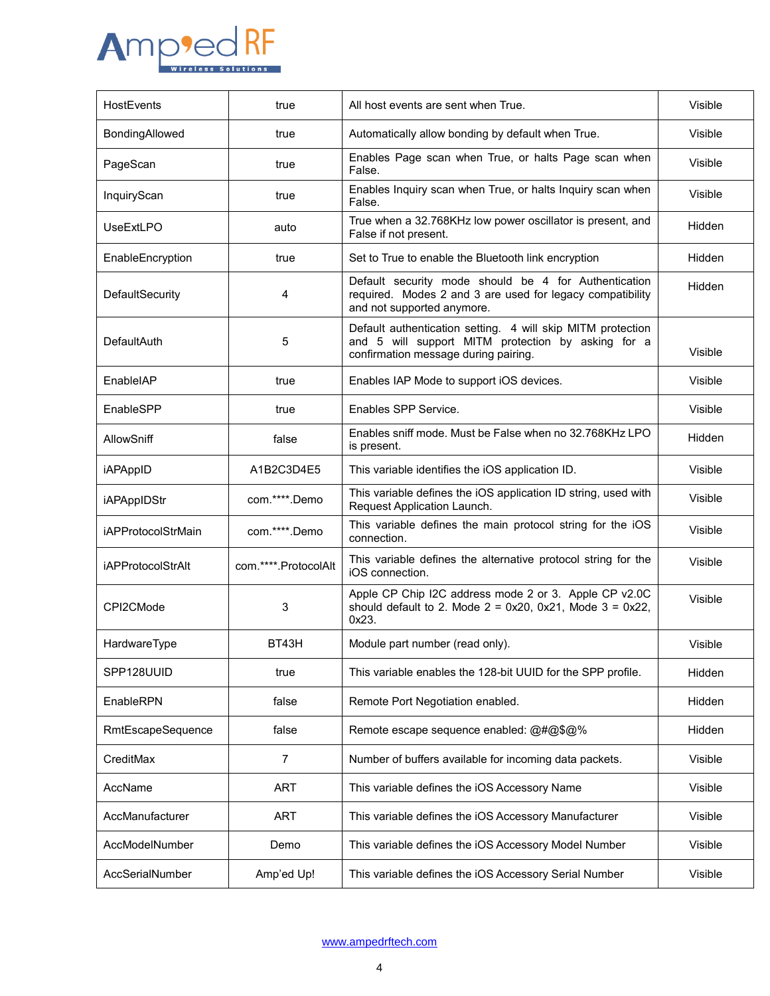

| HostEvents                | true                  | All host events are sent when True.                                                                                                                       | Visible |
|---------------------------|-----------------------|-----------------------------------------------------------------------------------------------------------------------------------------------------------|---------|
| BondingAllowed            | true                  | Automatically allow bonding by default when True.                                                                                                         | Visible |
| PageScan                  | true                  | Enables Page scan when True, or halts Page scan when<br>False.                                                                                            | Visible |
| InquiryScan               | true                  | Enables Inquiry scan when True, or halts Inquiry scan when<br>False.                                                                                      | Visible |
| UseExtLPO                 | auto                  | True when a 32.768KHz low power oscillator is present, and<br>False if not present.                                                                       | Hidden  |
| EnableEncryption          | true                  | Set to True to enable the Bluetooth link encryption                                                                                                       | Hidden  |
| DefaultSecurity           | 4                     | Default security mode should be 4 for Authentication<br>required. Modes 2 and 3 are used for legacy compatibility<br>and not supported anymore.           | Hidden  |
| DefaultAuth               | 5                     | Default authentication setting. 4 will skip MITM protection<br>and 5 will support MITM protection by asking for a<br>confirmation message during pairing. | Visible |
| EnableIAP                 | true                  | Enables IAP Mode to support iOS devices.                                                                                                                  | Visible |
| EnableSPP                 | true                  | Enables SPP Service.                                                                                                                                      | Visible |
| AllowSniff                | false                 | Enables sniff mode. Must be False when no 32.768KHz LPO<br>is present.                                                                                    | Hidden  |
| <b>iAPAppID</b>           | A1B2C3D4E5            | This variable identifies the iOS application ID.                                                                                                          | Visible |
| iAPAppIDStr               | com.****.Demo         | This variable defines the iOS application ID string, used with<br>Request Application Launch.                                                             | Visible |
| <b>iAPProtocolStrMain</b> | com.****.Demo         | This variable defines the main protocol string for the iOS<br>connection.                                                                                 | Visible |
| <b>iAPProtocolStrAlt</b>  | com.*****.ProtocolAlt | This variable defines the alternative protocol string for the<br>iOS connection.                                                                          | Visible |
| CPI2CMode                 | 3                     | Apple CP Chip I2C address mode 2 or 3. Apple CP v2.0C<br>should default to 2. Mode $2 = 0x20$ , $0x21$ , Mode $3 = 0x22$ ,<br>0x23.                       | Visible |
| HardwareType              | BT43H                 | Module part number (read only).                                                                                                                           | Visible |
| SPP128UUID                | true                  | This variable enables the 128-bit UUID for the SPP profile.                                                                                               | Hidden  |
| EnableRPN                 | false                 | Remote Port Negotiation enabled.                                                                                                                          | Hidden  |
| RmtEscapeSequence         | false                 | Remote escape sequence enabled: @#@\$@%                                                                                                                   | Hidden  |
| CreditMax                 | 7                     | Number of buffers available for incoming data packets.                                                                                                    | Visible |
| AccName                   | ART                   | This variable defines the iOS Accessory Name                                                                                                              | Visible |
| AccManufacturer           | ART                   | This variable defines the iOS Accessory Manufacturer                                                                                                      | Visible |
| AccModelNumber            | Demo                  | This variable defines the iOS Accessory Model Number                                                                                                      | Visible |
| AccSerialNumber           | Amp'ed Up!            | This variable defines the iOS Accessory Serial Number                                                                                                     | Visible |